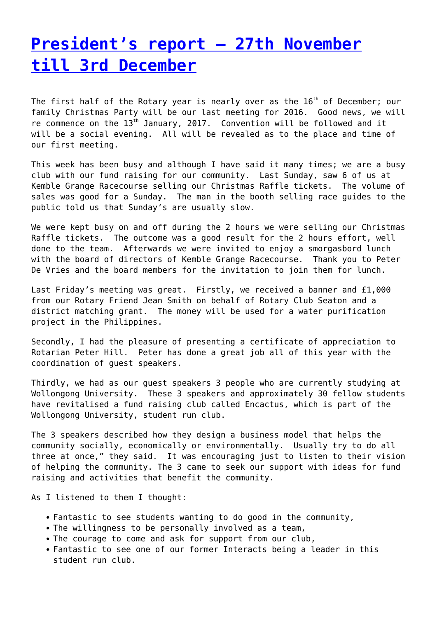## **[President's report – 27th November](https://www.illawarrasunrise.org.au/2016/12/06/presidents-report-27th-november-till-3rd-december/) [till 3rd December](https://www.illawarrasunrise.org.au/2016/12/06/presidents-report-27th-november-till-3rd-december/)**

The first half of the Rotary year is nearly over as the  $16<sup>th</sup>$  of December; our family Christmas Party will be our last meeting for 2016. Good news, we will re commence on the 13<sup>th</sup> January, 2017. Convention will be followed and it will be a social evening. All will be revealed as to the place and time of our first meeting.

This week has been busy and although I have said it many times; we are a busy club with our fund raising for our community. Last Sunday, saw 6 of us at Kemble Grange Racecourse selling our Christmas Raffle tickets. The volume of sales was good for a Sunday. The man in the booth selling race guides to the public told us that Sunday's are usually slow.

We were kept busy on and off during the 2 hours we were selling our Christmas Raffle tickets. The outcome was a good result for the 2 hours effort, well done to the team. Afterwards we were invited to enjoy a smorgasbord lunch with the board of directors of Kemble Grange Racecourse. Thank you to Peter De Vries and the board members for the invitation to join them for lunch.

Last Friday's meeting was great. Firstly, we received a banner and £1,000 from our Rotary Friend Jean Smith on behalf of Rotary Club Seaton and a district matching grant. The money will be used for a water purification project in the Philippines.

Secondly, I had the pleasure of presenting a certificate of appreciation to Rotarian Peter Hill. Peter has done a great job all of this year with the coordination of guest speakers.

Thirdly, we had as our guest speakers 3 people who are currently studying at Wollongong University. These 3 speakers and approximately 30 fellow students have revitalised a fund raising club called Encactus, which is part of the Wollongong University, student run club.

The 3 speakers described how they design a business model that helps the community socially, economically or environmentally. Usually try to do all three at once," they said. It was encouraging just to listen to their vision of helping the community. The 3 came to seek our support with ideas for fund raising and activities that benefit the community.

As I listened to them I thought:

- Fantastic to see students wanting to do good in the community,
- The willingness to be personally involved as a team,
- The courage to come and ask for support from our club,
- Fantastic to see one of our former Interacts being a leader in this student run club.